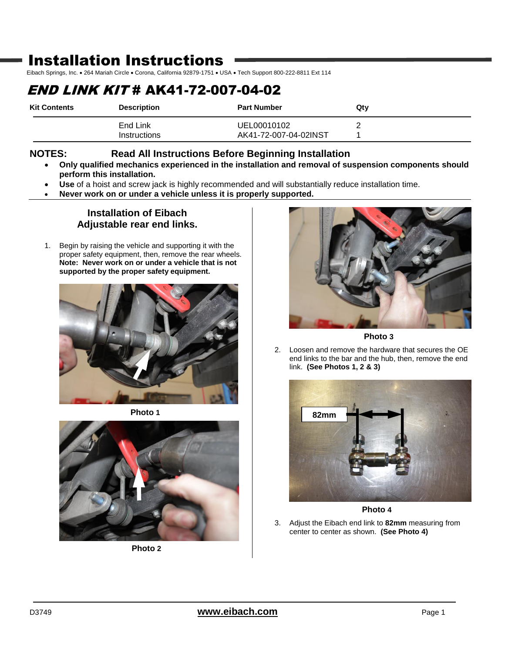# Installation Instructions

Eibach Springs, Inc. . 264 Mariah Circle . Corona, California 92879-1751 . USA . Tech Support 800-222-8811 Ext 114

# END LINK KIT # AK41-72-007-04-02

| <b>Kit Contents</b> | <b>Description</b>       | <b>Part Number</b>                   | Qty |
|---------------------|--------------------------|--------------------------------------|-----|
|                     | End Link<br>Instructions | UEL00010102<br>AK41-72-007-04-02INST |     |

### **NOTES: Read All Instructions Before Beginning Installation**

- **Only qualified mechanics experienced in the installation and removal of suspension components should perform this installation.**
- **Use** of a hoist and screw jack is highly recommended and will substantially reduce installation time.
- **Never work on or under a vehicle unless it is properly supported.**

### **Installation of Eibach Adjustable rear end links.**

1. Begin by raising the vehicle and supporting it with the proper safety equipment, then, remove the rear wheels. **Note: Never work on or under a vehicle that is not supported by the proper safety equipment.**



**Photo 1**



**Photo 2**



**Photo 3**

2. Loosen and remove the hardware that secures the OE end links to the bar and the hub, then, remove the end link. **(See Photos 1, 2 & 3)**



**Photo 4**

3. Adjust the Eibach end link to **82mm** measuring from center to center as shown. **(See Photo 4)**